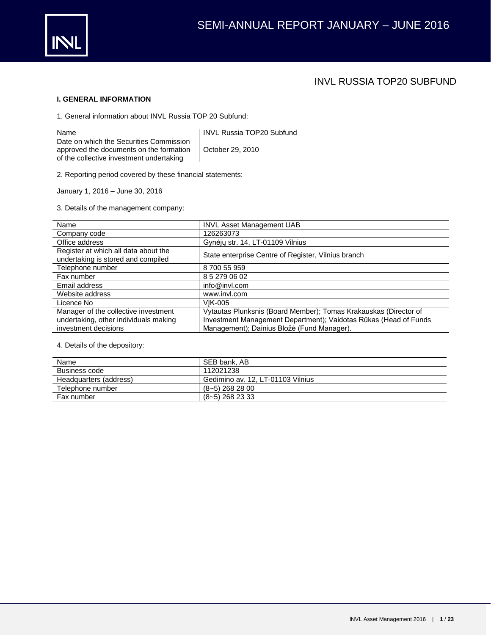

## INVL RUSSIA TOP20 SUBFUND

## **I. GENERAL INFORMATION**

1. General information about INVL Russia TOP 20 Subfund:

| Name                                                                                                                           | <b>INVL Russia TOP20 Subfund</b> |
|--------------------------------------------------------------------------------------------------------------------------------|----------------------------------|
| Date on which the Securities Commission<br>approved the documents on the formation<br>of the collective investment undertaking | October 29, 2010                 |

2. Reporting period covered by these financial statements:

January 1, 2016 – June 30, 2016

3. Details of the management company:

| Name                                                                       | <b>INVL Asset Management UAB</b>                                 |
|----------------------------------------------------------------------------|------------------------------------------------------------------|
| Company code                                                               | 126263073                                                        |
| Office address                                                             | Gynėjų str. 14, LT-01109 Vilnius                                 |
| Register at which all data about the<br>undertaking is stored and compiled | State enterprise Centre of Register, Vilnius branch              |
| Telephone number                                                           | 8 700 55 959                                                     |
| Fax number                                                                 | 8 5 279 06 02                                                    |
| Email address                                                              | info@invl.com                                                    |
| Website address                                                            | www.invl.com                                                     |
| Licence No                                                                 | VIK-005                                                          |
| Manager of the collective investment                                       | Vytautas Plunksnis (Board Member); Tomas Krakauskas (Director of |
| undertaking, other individuals making                                      | Investment Management Department); Vaidotas Rūkas (Head of Funds |
| investment decisions                                                       | Management); Dainius Bložė (Fund Manager).                       |

## 4. Details of the depository:

| Name                   | SEB bank. AB                      |
|------------------------|-----------------------------------|
| Business code          | 112021238                         |
| Headquarters (address) | Gedimino av. 12. LT-01103 Vilnius |
| Telephone number       | $(8-5)$ 268 28 00                 |
| Fax number             | $(8-5)$ 268 23 33                 |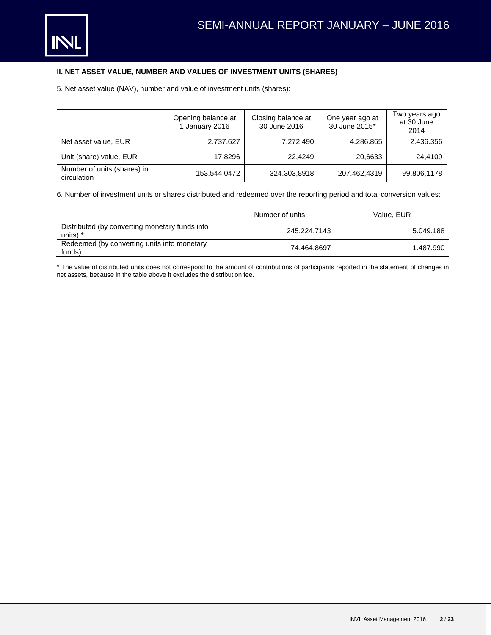## **II. NET ASSET VALUE, NUMBER AND VALUES OF INVESTMENT UNITS (SHARES)**

5. Net asset value (NAV), number and value of investment units (shares):

|                                            | Opening balance at<br>1 January 2016 | Closing balance at<br>30 June 2016 | One year ago at<br>30 June 2015* | Two years ago<br>at 30 June |
|--------------------------------------------|--------------------------------------|------------------------------------|----------------------------------|-----------------------------|
|                                            |                                      |                                    |                                  | 2014                        |
| Net asset value, EUR                       | 2.737.627                            | 7.272.490                          | 4.286.865                        | 2.436.356                   |
| Unit (share) value, EUR                    | 17.8296                              | 22,4249                            | 20,6633                          | 24.4109                     |
| Number of units (shares) in<br>circulation | 153.544,0472                         | 324.303,8918                       | 207.462,4319                     | 99.806,1178                 |

6. Number of investment units or shares distributed and redeemed over the reporting period and total conversion values:

|                                                              | Number of units | Value, EUR |
|--------------------------------------------------------------|-----------------|------------|
| Distributed (by converting monetary funds into<br>units) $*$ | 245.224.7143    | 5.049.188  |
| Redeemed (by converting units into monetary<br>funds)        | 74.464.8697     | 1.487.990  |

\* The value of distributed units does not correspond to the amount of contributions of participants reported in the statement of changes in net assets, because in the table above it excludes the distribution fee.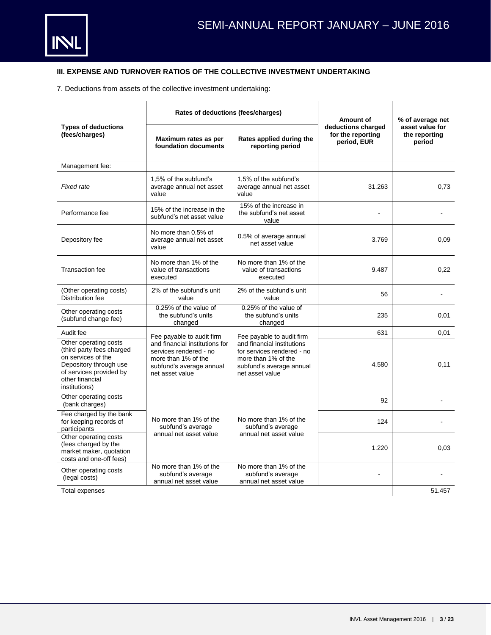## **III. EXPENSE AND TURNOVER RATIOS OF THE COLLECTIVE INVESTMENT UNDERTAKING**

7. Deductions from assets of the collective investment undertaking:

|                                                                                                                                                                   | Rates of deductions (fees/charges)                                                                                             |                                                                                                                                | Amount of                                              | % of average net                           |
|-------------------------------------------------------------------------------------------------------------------------------------------------------------------|--------------------------------------------------------------------------------------------------------------------------------|--------------------------------------------------------------------------------------------------------------------------------|--------------------------------------------------------|--------------------------------------------|
| <b>Types of deductions</b><br>(fees/charges)                                                                                                                      | Maximum rates as per<br>foundation documents                                                                                   | Rates applied during the<br>reporting period                                                                                   | deductions charged<br>for the reporting<br>period, EUR | asset value for<br>the reporting<br>period |
| Management fee:                                                                                                                                                   |                                                                                                                                |                                                                                                                                |                                                        |                                            |
| Fixed rate                                                                                                                                                        | 1,5% of the subfund's<br>average annual net asset<br>value                                                                     | 1,5% of the subfund's<br>average annual net asset<br>value                                                                     | 31.263                                                 | 0,73                                       |
| Performance fee                                                                                                                                                   | 15% of the increase in the<br>subfund's net asset value                                                                        | 15% of the increase in<br>the subfund's net asset<br>value                                                                     | ÷                                                      |                                            |
| Depository fee                                                                                                                                                    | No more than 0.5% of<br>average annual net asset<br>value                                                                      | 0.5% of average annual<br>net asset value                                                                                      | 3.769                                                  | 0,09                                       |
| <b>Transaction fee</b>                                                                                                                                            | No more than 1% of the<br>value of transactions<br>executed                                                                    | No more than 1% of the<br>value of transactions<br>executed                                                                    | 9.487                                                  | 0,22                                       |
| (Other operating costs)<br>Distribution fee                                                                                                                       | 2% of the subfund's unit<br>value                                                                                              | 2% of the subfund's unit<br>value                                                                                              | 56                                                     |                                            |
| Other operating costs<br>(subfund change fee)                                                                                                                     | 0.25% of the value of<br>the subfund's units<br>changed                                                                        | 0.25% of the value of<br>the subfund's units<br>changed                                                                        | 235                                                    | 0,01                                       |
| Audit fee                                                                                                                                                         | Fee payable to audit firm                                                                                                      | Fee payable to audit firm                                                                                                      | 631                                                    | 0,01                                       |
| Other operating costs<br>(third party fees charged<br>on services of the<br>Depository through use<br>of services provided by<br>other financial<br>institutions) | and financial institutions for<br>services rendered - no<br>more than 1% of the<br>subfund's average annual<br>net asset value | and financial institutions<br>for services rendered - no<br>more than 1% of the<br>subfund's average annual<br>net asset value | 4.580                                                  | 0.11                                       |
| Other operating costs<br>(bank charges)                                                                                                                           |                                                                                                                                |                                                                                                                                | 92                                                     |                                            |
| Fee charged by the bank<br>for keeping records of<br>participants                                                                                                 | No more than 1% of the<br>subfund's average                                                                                    | No more than 1% of the<br>subfund's average                                                                                    | 124                                                    |                                            |
| Other operating costs<br>(fees charged by the<br>market maker, quotation<br>costs and one-off fees)                                                               | annual net asset value                                                                                                         | annual net asset value                                                                                                         | 1.220                                                  | 0,03                                       |
| Other operating costs<br>(legal costs)                                                                                                                            | No more than 1% of the<br>subfund's average<br>annual net asset value                                                          | No more than 1% of the<br>subfund's average<br>annual net asset value                                                          |                                                        |                                            |
| <b>Total expenses</b>                                                                                                                                             |                                                                                                                                |                                                                                                                                |                                                        | 51.457                                     |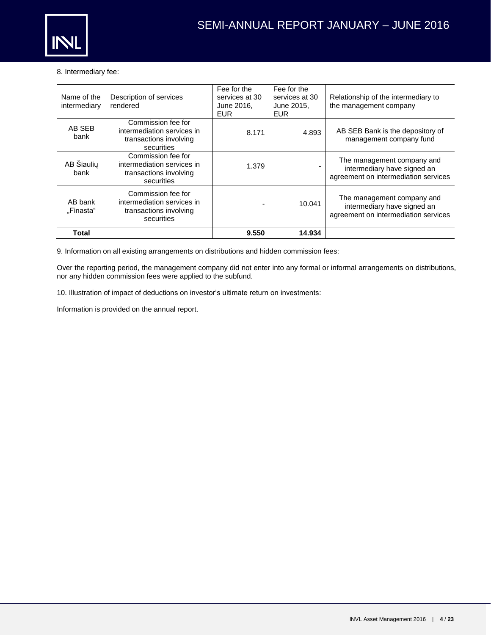

## 8. Intermediary fee:

| Name of the<br>intermediary | Description of services<br>rendered                                                      | Fee for the<br>services at 30<br>June 2016,<br><b>EUR</b> | Fee for the<br>services at 30<br>June 2015,<br><b>EUR</b> | Relationship of the intermediary to<br>the management company                                     |
|-----------------------------|------------------------------------------------------------------------------------------|-----------------------------------------------------------|-----------------------------------------------------------|---------------------------------------------------------------------------------------------------|
| AB SEB<br>bank              | Commission fee for<br>intermediation services in<br>transactions involving<br>securities | 8.171                                                     | 4.893                                                     | AB SEB Bank is the depository of<br>management company fund                                       |
| AB Šiaulių<br>bank          | Commission fee for<br>intermediation services in<br>transactions involving<br>securities | 1.379                                                     |                                                           | The management company and<br>intermediary have signed an<br>agreement on intermediation services |
| AB bank<br>"Finasta"        | Commission fee for<br>intermediation services in<br>transactions involving<br>securities |                                                           | 10.041                                                    | The management company and<br>intermediary have signed an<br>agreement on intermediation services |
| Total                       |                                                                                          | 9.550                                                     | 14.934                                                    |                                                                                                   |

9. Information on all existing arrangements on distributions and hidden commission fees:

Over the reporting period, the management company did not enter into any formal or informal arrangements on distributions, nor any hidden commission fees were applied to the subfund.

10. Illustration of impact of deductions on investor's ultimate return on investments:

Information is provided on the annual report.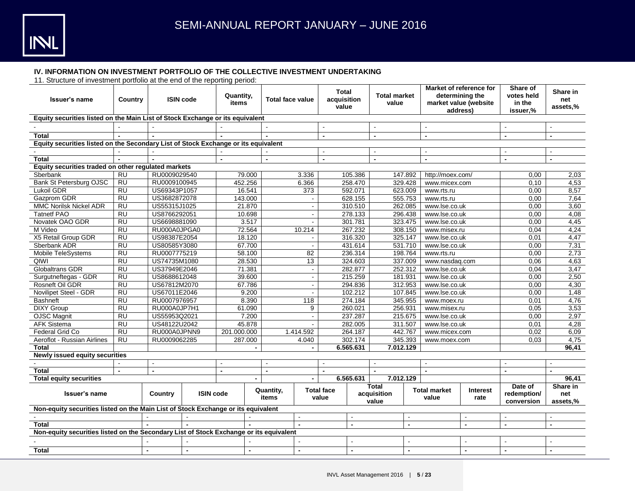

## **IV. INFORMATION ON INVESTMENT PORTFOLIO OF THE COLLECTIVE INVESTMENT UNDERTAKING**

11. Structure of investment portfolio at the end of the reporting period:

| Issuer's name                                                                          | Country         |                          | <b>ISIN code</b> |             | Quantity,<br><b>Total face value</b><br>items |                    |                | <b>Total</b><br>acquisition<br>value |                | <b>Total market</b><br>value         |                         | Market of reference for<br>determining the<br>market value (website<br>address) |                  | Share of<br>votes held<br>in the<br>issuer,% | Share in<br>net<br>assets,% |
|----------------------------------------------------------------------------------------|-----------------|--------------------------|------------------|-------------|-----------------------------------------------|--------------------|----------------|--------------------------------------|----------------|--------------------------------------|-------------------------|---------------------------------------------------------------------------------|------------------|----------------------------------------------|-----------------------------|
| Equity securities listed on the Main List of Stock Exchange or its equivalent          |                 |                          |                  |             |                                               |                    |                |                                      |                |                                      |                         |                                                                                 |                  |                                              |                             |
|                                                                                        |                 |                          |                  |             |                                               |                    |                |                                      |                |                                      |                         |                                                                                 |                  |                                              |                             |
| <b>Total</b>                                                                           |                 |                          |                  |             |                                               |                    |                | $\overline{a}$                       |                |                                      |                         |                                                                                 |                  |                                              |                             |
| Equity securities listed on the Secondary List of Stock Exchange or its equivalent     |                 |                          |                  |             |                                               |                    |                |                                      |                |                                      |                         |                                                                                 |                  |                                              |                             |
|                                                                                        |                 |                          |                  |             |                                               |                    |                |                                      |                |                                      |                         |                                                                                 |                  |                                              |                             |
| <b>Total</b>                                                                           |                 |                          |                  |             |                                               |                    |                | $\blacksquare$                       |                |                                      |                         | $\overline{\phantom{a}}$                                                        |                  |                                              |                             |
| Equity securities traded on other regulated markets                                    |                 |                          |                  |             |                                               |                    |                |                                      |                |                                      |                         |                                                                                 |                  |                                              |                             |
| Sberbank                                                                               | <b>RU</b>       | RU0009029540             |                  |             | 79.000                                        |                    | 3.336          |                                      | 105.386        |                                      | 147.892                 | http://moex.com/                                                                |                  | 0,00                                         | 2,03                        |
| <b>Bank St Petersburg OJSC</b>                                                         | <b>RU</b>       | RU0009100945             |                  |             | 452.256                                       |                    | 6.366          |                                      | 258.470        |                                      | 329.428                 | www.micex.com                                                                   |                  | 0.10                                         | 4,53                        |
| Lukoil GDR                                                                             | <b>RU</b>       | US69343P1057             |                  |             | 16.541                                        |                    | 373            |                                      | 592.071        |                                      | 623.009                 | www.rts.ru                                                                      |                  | 0.00                                         | 8,57                        |
| Gazprom GDR                                                                            | <b>RU</b>       | US3682872078             |                  |             | 143.000                                       |                    |                |                                      | 628.155        |                                      | 555.753                 | www.rts.ru                                                                      |                  | 0,00                                         | 7,64                        |
| <b>MMC Norilsk Nickel ADR</b>                                                          | <b>RU</b>       | US55315J1025             |                  |             | 21.870                                        |                    | $\blacksquare$ |                                      | 310.510        |                                      | 262.085                 | www.lse.co.uk                                                                   |                  | 0,00                                         | 3,60                        |
| <b>Tatnetf PAO</b>                                                                     | <b>RU</b>       | US8766292051             |                  |             | 10.698                                        |                    | $\blacksquare$ |                                      | 278.133        |                                      | 296.438                 | www.lse.co.uk                                                                   |                  | 0.00                                         | 4,08                        |
| Novatek OAO GDR                                                                        | <b>RU</b>       | US6698881090             |                  |             | 3.517                                         |                    | $\overline{a}$ |                                      | 301.781        |                                      | 323.475                 | www.lse.co.uk                                                                   |                  | 0,00                                         | 4,45                        |
| M Video                                                                                | RU              | RU000A0JPGA0             |                  |             | 72.564                                        |                    | 10.214         |                                      | 267.232        |                                      | 308.150                 | www.misex.ru                                                                    |                  | 0.04                                         | 4,24                        |
| X5 Retail Group GDR                                                                    | $\overline{RU}$ | US98387E2054             |                  |             | 18.120                                        |                    |                |                                      | 316.320        |                                      | 325.147                 | www.lse.co.uk                                                                   |                  | 0.01                                         | 4,47                        |
| Sberbank ADR                                                                           | <b>RU</b>       |                          | US80585Y3080     |             | 67.700                                        |                    | $\sim$         |                                      | 431.614        | 531.710                              |                         | www.lse.co.uk                                                                   |                  | 0.00                                         | 7,31                        |
| Mobile TeleSystems                                                                     | <b>RU</b>       | RU0007775219             |                  | 58.100      |                                               |                    | 82             |                                      | 236.314        |                                      | 198.764                 | www.rts.ru                                                                      |                  | 0,00                                         | 2,73                        |
| QIWI                                                                                   | $\overline{RU}$ | US74735M1080             |                  |             | 28.530                                        |                    | 13             |                                      | 324.603        |                                      | 337.009                 | www.nasdaq.com                                                                  |                  | 0,06                                         | 4,63                        |
| <b>Globaltrans GDR</b>                                                                 | <b>RU</b>       |                          | US37949E2046     |             | 71.381                                        |                    | $\blacksquare$ |                                      | 282.877        |                                      | 252.312                 | www.lse.co.uk                                                                   |                  | 0.04                                         | 3,47                        |
| Surgutneftegas - GDR                                                                   | $\overline{RU}$ | US8688612048             |                  | 39.600      |                                               |                    | $\blacksquare$ |                                      | 215.259        |                                      | 181.931                 | www.lse.co.uk                                                                   |                  | 0.00                                         | 2,50                        |
| Rosneft Oil GDR                                                                        | $\overline{RU}$ | US67812M2070             |                  |             | 67.786                                        |                    | $\blacksquare$ |                                      | 294.836        |                                      | 312.953                 | www.lse.co.uk                                                                   |                  | 0.00                                         | 4,30                        |
| Novilipet Steel - GDR                                                                  | $\overline{RU}$ | US67011E2046             |                  | 9.200       |                                               |                    |                |                                      | 102.212        |                                      | 107.845                 | www.lse.co.uk                                                                   |                  | 0.00                                         | 1,48                        |
| <b>Bashneft</b>                                                                        | <b>RU</b>       | RU0007976957             |                  | 8.390       |                                               | 118                |                | 274.184                              |                |                                      | 345.955<br>www.moex.ru  |                                                                                 |                  | 0,01                                         | 4,76                        |
| <b>DIXY Group</b>                                                                      | <b>RU</b>       | RU000A0JP7H1             |                  | 61.090      |                                               | 9                  |                | 260.021                              |                |                                      | 256.931<br>www.misex.ru |                                                                                 |                  | 0,05                                         | 3,53                        |
| <b>OJSC Magnit</b>                                                                     | <b>RU</b>       | US55953Q2021             |                  |             | 7.200                                         |                    | $\blacksquare$ |                                      | 237.287        |                                      | 215.675                 | www.lse.co.uk                                                                   |                  | 0,00                                         | 2,97                        |
| <b>AFK Sistema</b>                                                                     | <b>RU</b>       | US48122U2042             |                  |             | 45.878                                        |                    |                |                                      | 282.005        |                                      | 311.507                 | www.lse.co.uk                                                                   |                  | 0,01                                         | 4,28                        |
| Federal Grid Co                                                                        | <b>RU</b>       | RU000A0JPNN9             |                  | 201.000.000 |                                               |                    | 1.414.592      |                                      | 264.187        |                                      | 442.767                 | www.micex.com                                                                   |                  | 0.02                                         | 6,09                        |
| Aeroflot - Russian Airlines                                                            | <b>RU</b>       | RU0009062285             |                  |             | 287.000                                       |                    | 4.040          |                                      | 302.174        |                                      | 345.393                 | www.moex.com                                                                    |                  | 0,03                                         | 4,75                        |
| <b>Total</b>                                                                           |                 |                          |                  |             |                                               |                    |                |                                      | 6.565.631      |                                      | 7.012.129               |                                                                                 |                  |                                              | 96.41                       |
| <b>Newly issued equity securities</b>                                                  |                 |                          |                  |             |                                               |                    |                |                                      |                |                                      |                         |                                                                                 |                  |                                              |                             |
|                                                                                        | $\sim$          | $\sim$                   |                  |             |                                               |                    |                | $\mathbf{r}$                         |                | $\sim$                               |                         | $\mathbf{r}$                                                                    |                  |                                              |                             |
| <b>Total</b>                                                                           | $\blacksquare$  | $\blacksquare$           |                  |             |                                               | $\overline{a}$     |                | $\overline{a}$                       |                |                                      |                         | $\blacksquare$                                                                  |                  | $\overline{a}$                               | $\blacksquare$              |
| <b>Total equity securities</b>                                                         |                 |                          |                  |             |                                               |                    |                |                                      | 6.565.631      |                                      | 7.012.129               |                                                                                 |                  |                                              | 96,41                       |
| <b>Issuer's name</b>                                                                   |                 | Country                  | <b>ISIN code</b> |             |                                               | Quantity,<br>items |                | <b>Total face</b><br>value           |                | <b>Total</b><br>acquisition<br>value |                         | <b>Total market</b><br>value                                                    | Interest<br>rate | Date of<br>redemption/<br>conversion         | Share in<br>net<br>assets,% |
| Non-equity securities listed on the Main List of Stock Exchange or its equivalent      |                 |                          |                  |             |                                               |                    |                |                                      |                |                                      |                         |                                                                                 |                  |                                              |                             |
|                                                                                        |                 |                          |                  |             |                                               | $\overline{a}$     |                |                                      |                | $\overline{a}$                       |                         | $\sim$                                                                          |                  | $\overline{a}$                               |                             |
| <b>Total</b>                                                                           |                 |                          |                  |             |                                               |                    |                |                                      | $\blacksquare$ |                                      | $\blacksquare$          | $\blacksquare$                                                                  | $\blacksquare$   |                                              |                             |
| Non-equity securities listed on the Secondary List of Stock Exchange or its equivalent |                 |                          |                  |             |                                               |                    |                |                                      |                |                                      |                         |                                                                                 |                  |                                              |                             |
|                                                                                        |                 |                          |                  |             |                                               |                    |                |                                      |                |                                      |                         |                                                                                 |                  |                                              |                             |
| <b>Total</b>                                                                           |                 | $\overline{\phantom{0}}$ | $\blacksquare$   |             | $\blacksquare$                                |                    | $\blacksquare$ |                                      |                |                                      | $\sim$                  |                                                                                 | $\blacksquare$   |                                              | $\blacksquare$              |
|                                                                                        |                 |                          |                  |             |                                               |                    |                |                                      |                |                                      |                         |                                                                                 |                  |                                              |                             |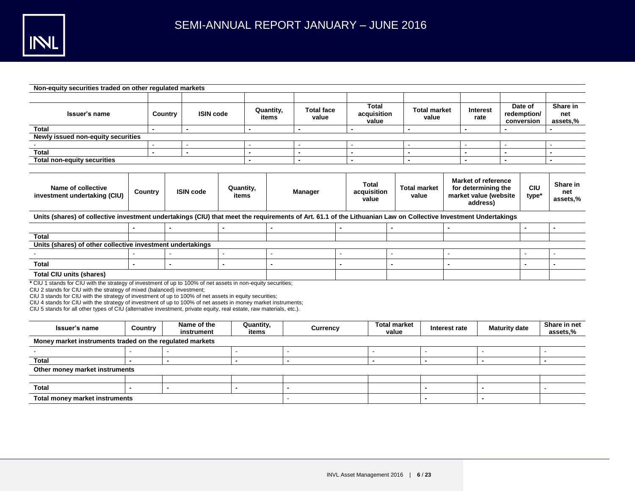

| Non-equity securities traded on other regulated markets                                                                                                                                                                                                                                                                                                                                                                                                                                                                                  |                             |                             |                           |                |                    |                |                            |                                      |                                      |                              |                                                                                        |               |                |                      |                     |                                      |                             |
|------------------------------------------------------------------------------------------------------------------------------------------------------------------------------------------------------------------------------------------------------------------------------------------------------------------------------------------------------------------------------------------------------------------------------------------------------------------------------------------------------------------------------------------|-----------------------------|-----------------------------|---------------------------|----------------|--------------------|----------------|----------------------------|--------------------------------------|--------------------------------------|------------------------------|----------------------------------------------------------------------------------------|---------------|----------------|----------------------|---------------------|--------------------------------------|-----------------------------|
| Issuer's name                                                                                                                                                                                                                                                                                                                                                                                                                                                                                                                            |                             | <b>ISIN code</b><br>Country |                           |                | Quantity,<br>items |                | <b>Total face</b><br>value |                                      | <b>Total</b><br>acquisition<br>value |                              | <b>Total market</b><br>value                                                           |               | rate           | <b>Interest</b>      |                     | Date of<br>redemption/<br>conversion | Share in<br>net<br>assets,% |
| <b>Total</b>                                                                                                                                                                                                                                                                                                                                                                                                                                                                                                                             |                             |                             |                           |                | $\blacksquare$     |                |                            |                                      | $\blacksquare$                       |                              |                                                                                        |               | $\blacksquare$ |                      |                     |                                      |                             |
| Newly issued non-equity securities                                                                                                                                                                                                                                                                                                                                                                                                                                                                                                       |                             |                             |                           |                |                    |                |                            |                                      |                                      |                              |                                                                                        |               |                |                      |                     |                                      |                             |
|                                                                                                                                                                                                                                                                                                                                                                                                                                                                                                                                          |                             |                             |                           |                |                    |                |                            |                                      |                                      |                              |                                                                                        |               |                |                      |                     |                                      |                             |
| <b>Total</b>                                                                                                                                                                                                                                                                                                                                                                                                                                                                                                                             | $\blacksquare$              |                             | $\blacksquare$            |                | $\blacksquare$     |                |                            |                                      | $\blacksquare$                       |                              | $\blacksquare$                                                                         |               | $\blacksquare$ | $\blacksquare$       |                     |                                      | $\blacksquare$              |
| <b>Total non-equity securities</b>                                                                                                                                                                                                                                                                                                                                                                                                                                                                                                       |                             |                             |                           |                | $\blacksquare$     |                |                            |                                      | $\blacksquare$                       |                              |                                                                                        |               | $\blacksquare$ | $\blacksquare$       |                     |                                      | $\blacksquare$              |
|                                                                                                                                                                                                                                                                                                                                                                                                                                                                                                                                          |                             |                             |                           |                |                    |                |                            |                                      |                                      |                              |                                                                                        |               |                |                      |                     |                                      |                             |
| Name of collective<br>investment undertaking (CIU)                                                                                                                                                                                                                                                                                                                                                                                                                                                                                       | <b>ISIN code</b><br>Country |                             | Quantity,<br>items        |                |                    | <b>Manager</b> |                            | <b>Total</b><br>acquisition<br>value |                                      | <b>Total market</b><br>value | <b>Market of reference</b><br>for determining the<br>market value (website<br>address) |               |                |                      | <b>CIU</b><br>type* | Share in<br>net<br>assets,%          |                             |
| Units (shares) of collective investment undertakings (CIU) that meet the requirements of Art. 61.1 of the Lithuanian Law on Collective Investment Undertakings                                                                                                                                                                                                                                                                                                                                                                           |                             |                             |                           |                |                    |                |                            |                                      |                                      |                              |                                                                                        |               |                |                      |                     |                                      |                             |
|                                                                                                                                                                                                                                                                                                                                                                                                                                                                                                                                          |                             |                             |                           |                |                    | $\blacksquare$ |                            |                                      |                                      |                              |                                                                                        |               |                |                      |                     |                                      | $\blacksquare$              |
| <b>Total</b>                                                                                                                                                                                                                                                                                                                                                                                                                                                                                                                             |                             |                             |                           |                |                    |                |                            |                                      |                                      |                              |                                                                                        |               |                |                      |                     |                                      |                             |
| Units (shares) of other collective investment undertakings                                                                                                                                                                                                                                                                                                                                                                                                                                                                               |                             |                             |                           |                |                    |                |                            |                                      |                                      |                              |                                                                                        |               |                |                      |                     |                                      |                             |
|                                                                                                                                                                                                                                                                                                                                                                                                                                                                                                                                          |                             |                             |                           | $\sim$         |                    |                |                            | $\sim$                               |                                      |                              |                                                                                        |               |                |                      |                     |                                      |                             |
| <b>Total</b>                                                                                                                                                                                                                                                                                                                                                                                                                                                                                                                             |                             |                             |                           | $\blacksquare$ |                    |                |                            |                                      |                                      |                              |                                                                                        |               |                |                      |                     |                                      |                             |
| <b>Total CIU units (shares)</b>                                                                                                                                                                                                                                                                                                                                                                                                                                                                                                          |                             |                             |                           |                |                    |                |                            |                                      |                                      |                              |                                                                                        |               |                |                      |                     |                                      |                             |
| * CIU 1 stands for CIU with the strategy of investment of up to 100% of net assets in non-equity securities;<br>CIU 2 stands for CIU with the strategy of mixed (balanced) investment;<br>CIU 3 stands for CIU with the strategy of investment of up to 100% of net assets in equity securities;<br>CIU 4 stands for CIU with the strategy of investment of up to 100% of net assets in money market instruments;<br>CIU 5 stands for all other types of CIU (alternative investment, private equity, real estate, raw materials, etc.). |                             |                             |                           |                |                    |                |                            |                                      |                                      |                              |                                                                                        |               |                |                      |                     |                                      |                             |
| Issuer's name                                                                                                                                                                                                                                                                                                                                                                                                                                                                                                                            | Country                     |                             | Name of the<br>instrument |                | Quantity,<br>items |                | Currency                   |                                      |                                      | <b>Total market</b><br>value |                                                                                        | Interest rate |                | <b>Maturity date</b> |                     |                                      | Share in net<br>assets,%    |
| Money market instruments traded on the regulated markets                                                                                                                                                                                                                                                                                                                                                                                                                                                                                 |                             |                             |                           |                |                    |                |                            |                                      |                                      |                              |                                                                                        |               |                |                      |                     |                                      |                             |
|                                                                                                                                                                                                                                                                                                                                                                                                                                                                                                                                          |                             |                             |                           |                |                    |                |                            |                                      | ÷                                    |                              |                                                                                        |               |                |                      |                     |                                      |                             |
| <b>Total</b>                                                                                                                                                                                                                                                                                                                                                                                                                                                                                                                             | $\overline{a}$              | $\blacksquare$              |                           | $\overline{a}$ |                    |                |                            |                                      | $\blacksquare$                       |                              |                                                                                        |               | $\blacksquare$ |                      |                     | $\overline{a}$                       |                             |
| Other money market instruments                                                                                                                                                                                                                                                                                                                                                                                                                                                                                                           |                             |                             |                           |                |                    |                |                            |                                      |                                      |                              |                                                                                        |               |                |                      |                     |                                      |                             |
|                                                                                                                                                                                                                                                                                                                                                                                                                                                                                                                                          |                             |                             |                           |                |                    |                |                            |                                      |                                      |                              |                                                                                        |               |                |                      |                     |                                      |                             |
| <b>Total</b>                                                                                                                                                                                                                                                                                                                                                                                                                                                                                                                             |                             | $\blacksquare$              |                           |                |                    |                |                            |                                      |                                      |                              |                                                                                        |               |                |                      |                     |                                      |                             |
| <b>Total money market instruments</b>                                                                                                                                                                                                                                                                                                                                                                                                                                                                                                    |                             |                             |                           |                |                    |                |                            |                                      |                                      |                              |                                                                                        |               |                |                      |                     |                                      |                             |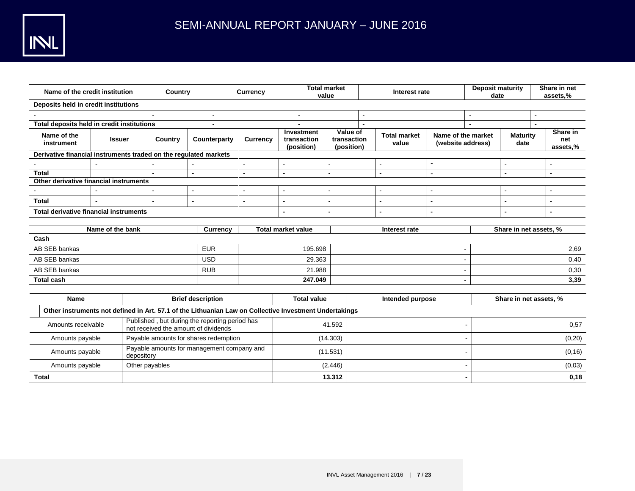| Name of the credit institution                                                                         |                  | Country                                                                                |                          |              | <b>Currency</b> | <b>Total market</b><br>value       |                                         |                                       |                              | Interest rate    | <b>Deposit maturity</b><br>date         |                | Share in net<br>assets,% |         |                             |
|--------------------------------------------------------------------------------------------------------|------------------|----------------------------------------------------------------------------------------|--------------------------|--------------|-----------------|------------------------------------|-----------------------------------------|---------------------------------------|------------------------------|------------------|-----------------------------------------|----------------|--------------------------|---------|-----------------------------|
| Deposits held in credit institutions                                                                   |                  |                                                                                        |                          |              |                 |                                    |                                         |                                       |                              |                  |                                         |                |                          |         |                             |
|                                                                                                        |                  |                                                                                        |                          |              |                 |                                    |                                         |                                       |                              |                  |                                         |                |                          |         |                             |
| Total deposits held in credit institutions                                                             |                  |                                                                                        |                          |              |                 |                                    |                                         |                                       |                              |                  |                                         | $\overline{a}$ |                          |         |                             |
| Name of the<br>instrument                                                                              | <b>Issuer</b>    | Country                                                                                |                          | Counterparty | <b>Currency</b> |                                    | Investment<br>transaction<br>(position) | Value of<br>transaction<br>(position) | <b>Total market</b><br>value |                  | Name of the market<br>(website address) |                | <b>Maturity</b><br>date  |         | Share in<br>net<br>assets,% |
| Derivative financial instruments traded on the regulated markets                                       |                  |                                                                                        |                          |              |                 |                                    |                                         |                                       |                              |                  |                                         |                |                          |         |                             |
|                                                                                                        |                  |                                                                                        |                          |              |                 |                                    |                                         |                                       |                              |                  | $\blacksquare$                          |                |                          |         | $\blacksquare$              |
| <b>Total</b>                                                                                           |                  | $\overline{a}$                                                                         | $\blacksquare$           |              | $\blacksquare$  | $\blacksquare$                     |                                         | $\blacksquare$                        |                              | $\blacksquare$   | $\overline{a}$                          |                | $\blacksquare$           |         | $\blacksquare$              |
| Other derivative financial instruments                                                                 |                  |                                                                                        |                          |              |                 |                                    |                                         |                                       |                              |                  |                                         |                |                          |         |                             |
|                                                                                                        |                  |                                                                                        | $\sim$                   |              | ٠               |                                    |                                         |                                       |                              | ÷                | $\overline{a}$                          |                |                          |         | $\overline{a}$              |
| <b>Total</b>                                                                                           |                  |                                                                                        | $\blacksquare$           |              |                 |                                    |                                         |                                       |                              |                  |                                         |                |                          |         |                             |
| <b>Total derivative financial instruments</b>                                                          |                  |                                                                                        |                          |              |                 |                                    |                                         |                                       |                              | $\blacksquare$   |                                         |                |                          |         | $\blacksquare$              |
| <b>Total market value</b><br>Share in net assets, %                                                    |                  |                                                                                        |                          |              |                 |                                    |                                         |                                       |                              |                  |                                         |                |                          |         |                             |
|                                                                                                        | Name of the bank |                                                                                        |                          | Currency     |                 |                                    |                                         |                                       |                              | Interest rate    |                                         |                |                          |         |                             |
| Cash                                                                                                   |                  |                                                                                        |                          |              |                 |                                    |                                         |                                       |                              |                  |                                         |                |                          |         |                             |
| AB SEB bankas                                                                                          |                  |                                                                                        |                          | <b>EUR</b>   |                 | 195.698                            |                                         |                                       |                              |                  |                                         |                |                          | 2,69    |                             |
| AB SEB bankas                                                                                          |                  |                                                                                        |                          | <b>USD</b>   |                 | 29.363<br>ä,                       |                                         |                                       |                              |                  |                                         | 0,40           |                          |         |                             |
| AB SEB bankas                                                                                          |                  |                                                                                        |                          | <b>RUB</b>   |                 | 21.988<br>$\overline{\phantom{0}}$ |                                         |                                       |                              |                  |                                         | 0,30           |                          |         |                             |
| <b>Total cash</b>                                                                                      |                  |                                                                                        |                          |              |                 | 247.049<br>$\blacksquare$          |                                         |                                       |                              |                  | 3,39                                    |                |                          |         |                             |
|                                                                                                        |                  |                                                                                        |                          |              |                 |                                    |                                         |                                       |                              |                  |                                         |                |                          |         |                             |
| <b>Name</b>                                                                                            |                  |                                                                                        | <b>Brief description</b> |              |                 |                                    | <b>Total value</b>                      |                                       |                              | Intended purpose |                                         |                | Share in net assets, %   |         |                             |
| Other instruments not defined in Art. 57.1 of the Lithuanian Law on Collective Investment Undertakings |                  |                                                                                        |                          |              |                 |                                    |                                         |                                       |                              |                  |                                         |                |                          |         |                             |
| Amounts receivable                                                                                     |                  | Published, but during the reporting period has<br>not received the amount of dividends |                          |              |                 |                                    |                                         | 41.592                                |                              |                  |                                         |                |                          |         | 0,57                        |
| Amounts payable                                                                                        |                  | Payable amounts for shares redemption                                                  |                          |              |                 |                                    |                                         | (14.303)                              |                              |                  |                                         |                |                          |         | (0, 20)                     |
| Amounts payable                                                                                        |                  | Payable amounts for management company and<br>depository                               |                          |              | (11.531)        |                                    |                                         |                                       |                              |                  |                                         |                |                          | (0, 16) |                             |
| Amounts payable                                                                                        |                  | Other payables                                                                         |                          |              |                 |                                    |                                         | (2.446)                               |                              |                  |                                         |                |                          |         | (0,03)                      |
| <b>Total</b>                                                                                           |                  |                                                                                        |                          |              |                 |                                    |                                         | 13.312                                |                              |                  |                                         |                |                          |         | 0,18                        |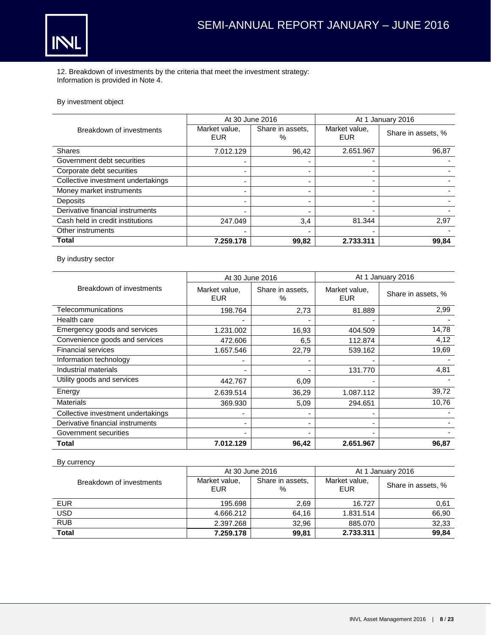

12. Breakdown of investments by the criteria that meet the investment strategy: Information is provided in Note 4.

## By investment object

|                                    | At 30 June 2016             |                       | At 1 January 2016    |                    |  |  |
|------------------------------------|-----------------------------|-----------------------|----------------------|--------------------|--|--|
| Breakdown of investments           | Market value,<br><b>EUR</b> | Share in assets,<br>% | Market value,<br>EUR | Share in assets, % |  |  |
| <b>Shares</b>                      | 7.012.129                   | 96.42                 | 2.651.967            | 96,87              |  |  |
| Government debt securities         |                             |                       | -                    |                    |  |  |
| Corporate debt securities          |                             |                       |                      |                    |  |  |
| Collective investment undertakings |                             |                       |                      |                    |  |  |
| Money market instruments           |                             |                       |                      |                    |  |  |
| Deposits                           |                             |                       |                      |                    |  |  |
| Derivative financial instruments   |                             |                       |                      |                    |  |  |
| Cash held in credit institutions   | 247.049                     | 3,4                   | 81.344               | 2,97               |  |  |
| Other instruments                  |                             |                       |                      |                    |  |  |
| <b>Total</b>                       | 7.259.178                   | 99,82                 | 2.733.311            | 99,84              |  |  |

By industry sector

|                                    | At 30 June 2016             |                          | At 1 January 2016           |                    |  |  |  |
|------------------------------------|-----------------------------|--------------------------|-----------------------------|--------------------|--|--|--|
| Breakdown of investments           | Market value,<br><b>EUR</b> | Share in assets,<br>$\%$ | Market value,<br><b>EUR</b> | Share in assets, % |  |  |  |
| Telecommunications                 | 198.764                     | 2,73                     | 81.889                      | 2,99               |  |  |  |
| Health care                        |                             |                          |                             |                    |  |  |  |
| Emergency goods and services       | 1.231.002                   | 16,93                    | 404.509                     | 14,78              |  |  |  |
| Convenience goods and services     | 472,606                     | 6,5                      | 112.874                     | 4,12               |  |  |  |
| <b>Financial services</b>          | 1.657.546                   | 22,79                    | 539.162                     | 19,69              |  |  |  |
| Information technology             |                             |                          |                             |                    |  |  |  |
| Industrial materials               |                             |                          | 131.770                     | 4,81               |  |  |  |
| Utility goods and services         | 442.767                     | 6.09                     |                             |                    |  |  |  |
| Energy                             | 2.639.514                   | 36,29                    | 1.087.112                   | 39,72              |  |  |  |
| <b>Materials</b>                   | 369.930                     | 5,09                     | 294.651                     | 10,76              |  |  |  |
| Collective investment undertakings |                             |                          |                             |                    |  |  |  |
| Derivative financial instruments   |                             |                          |                             |                    |  |  |  |
| Government securities              |                             |                          |                             |                    |  |  |  |
| Total                              | 7.012.129                   | 96,42                    | 2.651.967                   | 96,87              |  |  |  |

## By currency

|                          | At 30 June 2016      |                       | At 1 January 2016    |                    |
|--------------------------|----------------------|-----------------------|----------------------|--------------------|
| Breakdown of investments | Market value,<br>EUR | Share in assets.<br>% | Market value,<br>EUR | Share in assets, % |
| <b>EUR</b>               | 195.698              | 2.69                  | 16.727               | 0,61               |
| <b>USD</b>               | 4.666.212            | 64,16                 | 1.831.514            | 66,90              |
| <b>RUB</b>               | 2.397.268            | 32,96                 | 885.070              | 32,33              |
| <b>Total</b>             | 7.259.178            | 99,81                 | 2.733.311            | 99,84              |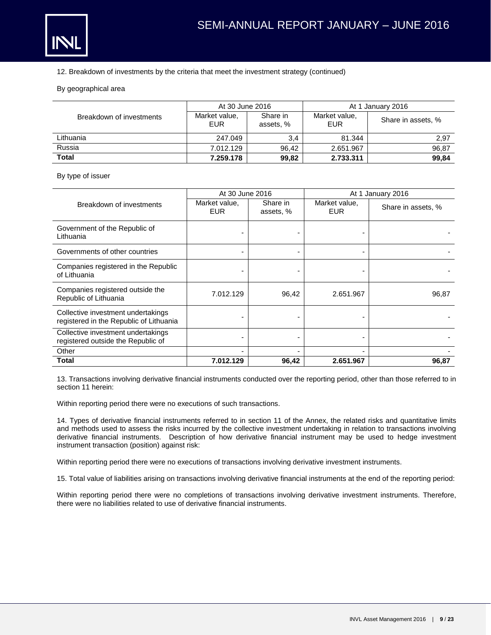

#### 12. Breakdown of investments by the criteria that meet the investment strategy (continued)

#### By geographical area

|                          | At 30 June 2016      |                       | At 1 January 2016    |                    |
|--------------------------|----------------------|-----------------------|----------------------|--------------------|
| Breakdown of investments | Market value,<br>EUR | Share in<br>assets, % | Market value,<br>EUR | Share in assets, % |
| Lithuania                | 247.049              | 3,4                   | 81.344               | 2,97               |
| Russia                   | 7.012.129            | 96.42                 | 2.651.967            | 96,87              |
| <b>Total</b>             | 7.259.178            | 99,82                 | 2.733.311            | 99,84              |

#### By type of issuer

|                                                                               | At 30 June 2016             |                       | At 1 January 2016           |                    |  |
|-------------------------------------------------------------------------------|-----------------------------|-----------------------|-----------------------------|--------------------|--|
| Breakdown of investments                                                      | Market value,<br><b>EUR</b> | Share in<br>assets, % | Market value,<br><b>EUR</b> | Share in assets, % |  |
| Government of the Republic of<br>Lithuania                                    |                             |                       |                             |                    |  |
| Governments of other countries                                                |                             |                       |                             |                    |  |
| Companies registered in the Republic<br>of Lithuania                          |                             |                       |                             |                    |  |
| Companies registered outside the<br>Republic of Lithuania                     | 7.012.129                   | 96,42                 | 2.651.967                   | 96,87              |  |
| Collective investment undertakings<br>registered in the Republic of Lithuania |                             |                       |                             |                    |  |
| Collective investment undertakings<br>registered outside the Republic of      |                             |                       |                             |                    |  |
| Other                                                                         |                             |                       |                             |                    |  |
| Total                                                                         | 7.012.129                   | 96,42                 | 2.651.967                   | 96,87              |  |

13. Transactions involving derivative financial instruments conducted over the reporting period, other than those referred to in section 11 herein:

Within reporting period there were no executions of such transactions.

14. Types of derivative financial instruments referred to in section 11 of the Annex, the related risks and quantitative limits and methods used to assess the risks incurred by the collective investment undertaking in relation to transactions involving derivative financial instruments. Description of how derivative financial instrument may be used to hedge investment instrument transaction (position) against risk:

Within reporting period there were no executions of transactions involving derivative investment instruments.

15. Total value of liabilities arising on transactions involving derivative financial instruments at the end of the reporting period:

Within reporting period there were no completions of transactions involving derivative investment instruments. Therefore, there were no liabilities related to use of derivative financial instruments.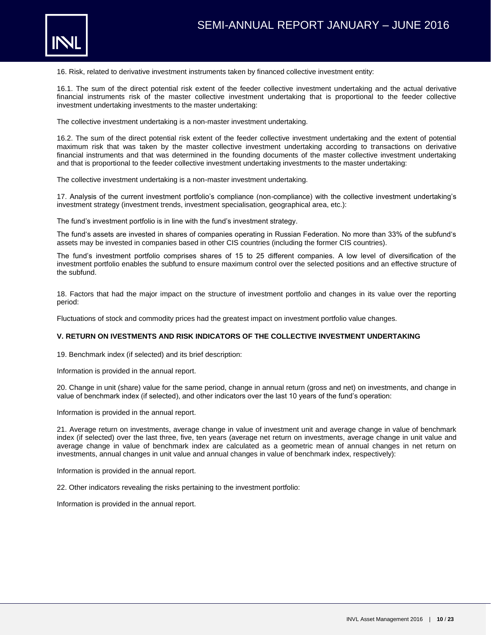

16. Risk, related to derivative investment instruments taken by financed collective investment entity:

16.1. The sum of the direct potential risk extent of the feeder collective investment undertaking and the actual derivative financial instruments risk of the master collective investment undertaking that is proportional to the feeder collective investment undertaking investments to the master undertaking:

The collective investment undertaking is a non-master investment undertaking.

16.2. The sum of the direct potential risk extent of the feeder collective investment undertaking and the extent of potential maximum risk that was taken by the master collective investment undertaking according to transactions on derivative financial instruments and that was determined in the founding documents of the master collective investment undertaking and that is proportional to the feeder collective investment undertaking investments to the master undertaking:

The collective investment undertaking is a non-master investment undertaking.

17. Analysis of the current investment portfolio's compliance (non-compliance) with the collective investment undertaking's investment strategy (investment trends, investment specialisation, geographical area, etc.):

The fund's investment portfolio is in line with the fund's investment strategy.

The fund's assets are invested in shares of companies operating in Russian Federation. No more than 33% of the subfund's assets may be invested in companies based in other CIS countries (including the former CIS countries).

The fund's investment portfolio comprises shares of 15 to 25 different companies. A low level of diversification of the investment portfolio enables the subfund to ensure maximum control over the selected positions and an effective structure of the subfund.

18. Factors that had the major impact on the structure of investment portfolio and changes in its value over the reporting period:

Fluctuations of stock and commodity prices had the greatest impact on investment portfolio value changes.

#### **V. RETURN ON IVESTMENTS AND RISK INDICATORS OF THE COLLECTIVE INVESTMENT UNDERTAKING**

19. Benchmark index (if selected) and its brief description:

Information is provided in the annual report.

20. Change in unit (share) value for the same period, change in annual return (gross and net) on investments, and change in value of benchmark index (if selected), and other indicators over the last 10 years of the fund's operation:

Information is provided in the annual report.

21. Average return on investments, average change in value of investment unit and average change in value of benchmark index (if selected) over the last three, five, ten years (average net return on investments, average change in unit value and average change in value of benchmark index are calculated as a geometric mean of annual changes in net return on investments, annual changes in unit value and annual changes in value of benchmark index, respectively):

Information is provided in the annual report.

22. Other indicators revealing the risks pertaining to the investment portfolio:

Information is provided in the annual report.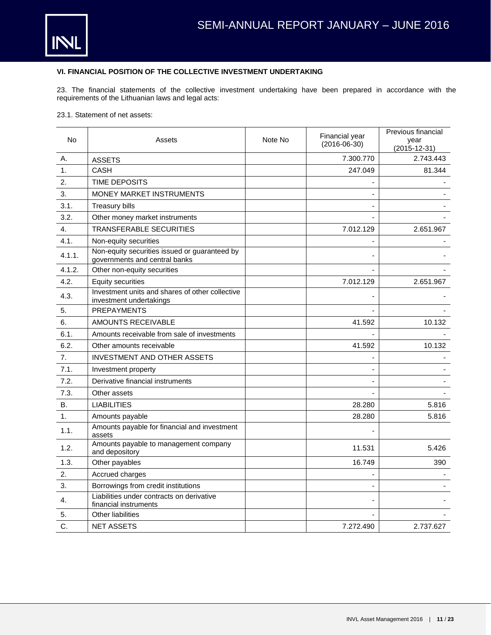

## **VI. FINANCIAL POSITION OF THE COLLECTIVE INVESTMENT UNDERTAKING**

23. The financial statements of the collective investment undertaking have been prepared in accordance with the requirements of the Lithuanian laws and legal acts:

23.1. Statement of net assets:

| No.       | Assets                                                                         | Note No | Financial year<br>$(2016-06-30)$ | Previous financial<br>year<br>$(2015 - 12 - 31)$ |
|-----------|--------------------------------------------------------------------------------|---------|----------------------------------|--------------------------------------------------|
| Α.        | <b>ASSETS</b>                                                                  |         | 7.300.770                        | 2.743.443                                        |
| 1.        | <b>CASH</b>                                                                    |         | 247.049                          | 81.344                                           |
| 2.        | <b>TIME DEPOSITS</b>                                                           |         |                                  |                                                  |
| 3.        | <b>MONEY MARKET INSTRUMENTS</b>                                                |         |                                  |                                                  |
| 3.1.      | <b>Treasury bills</b>                                                          |         |                                  |                                                  |
| 3.2.      | Other money market instruments                                                 |         |                                  |                                                  |
| 4.        | TRANSFERABLE SECURITIES                                                        |         | 7.012.129                        | 2.651.967                                        |
| 4.1.      | Non-equity securities                                                          |         |                                  |                                                  |
| 4.1.1.    | Non-equity securities issued or guaranteed by<br>governments and central banks |         |                                  |                                                  |
| 4.1.2.    | Other non-equity securities                                                    |         |                                  |                                                  |
| 4.2.      | <b>Equity securities</b>                                                       |         | 7.012.129                        | 2.651.967                                        |
| 4.3.      | Investment units and shares of other collective<br>investment undertakings     |         |                                  |                                                  |
| 5.        | <b>PREPAYMENTS</b>                                                             |         |                                  |                                                  |
| 6.        | <b>AMOUNTS RECEIVABLE</b>                                                      |         | 41.592                           | 10.132                                           |
| 6.1.      | Amounts receivable from sale of investments                                    |         |                                  |                                                  |
| 6.2.      | Other amounts receivable                                                       |         | 41.592                           | 10.132                                           |
| 7.        | <b>INVESTMENT AND OTHER ASSETS</b>                                             |         |                                  |                                                  |
| 7.1.      | Investment property                                                            |         |                                  |                                                  |
| 7.2.      | Derivative financial instruments                                               |         |                                  |                                                  |
| 7.3.      | Other assets                                                                   |         |                                  |                                                  |
| <b>B.</b> | <b>LIABILITIES</b>                                                             |         | 28.280                           | 5.816                                            |
| 1.        | Amounts payable                                                                |         | 28.280                           | 5.816                                            |
| 1.1.      | Amounts payable for financial and investment<br>assets                         |         |                                  |                                                  |
| 1.2.      | Amounts payable to management company<br>and depository                        |         | 11.531                           | 5.426                                            |
| 1.3.      | Other payables                                                                 |         | 16.749                           | 390                                              |
| 2.        | Accrued charges                                                                |         |                                  |                                                  |
| 3.        | Borrowings from credit institutions                                            |         |                                  |                                                  |
| 4.        | Liabilities under contracts on derivative<br>financial instruments             |         |                                  |                                                  |
| 5.        | <b>Other liabilities</b>                                                       |         |                                  |                                                  |
| C.        | <b>NET ASSETS</b>                                                              |         | 7.272.490                        | 2.737.627                                        |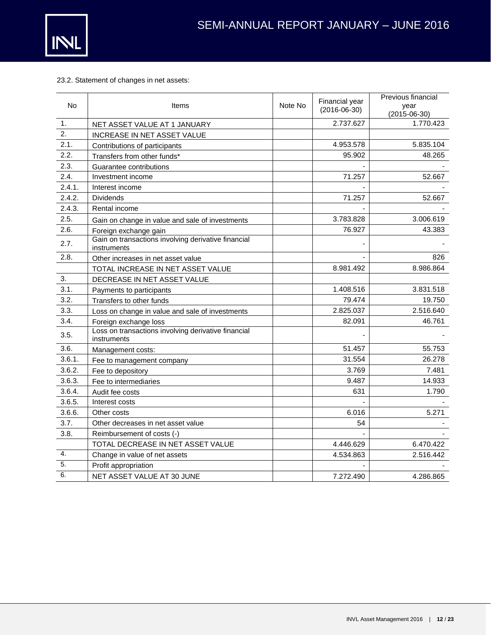

## 23.2. Statement of changes in net assets:

| <b>No</b>        | Items                                                              | Note No | Financial year<br>$(2016-06-30)$ | Previous financial<br>year<br>$(2015 - 06 - 30)$ |
|------------------|--------------------------------------------------------------------|---------|----------------------------------|--------------------------------------------------|
| 1.               | NET ASSET VALUE AT 1 JANUARY                                       |         | 2.737.627                        | 1.770.423                                        |
| $\overline{2}$ . | <b>INCREASE IN NET ASSET VALUE</b>                                 |         |                                  |                                                  |
| 2.1.             | Contributions of participants                                      |         | 4.953.578                        | 5.835.104                                        |
| 2.2.             | Transfers from other funds*                                        |         | 95.902                           | 48.265                                           |
| 2.3.             | Guarantee contributions                                            |         |                                  |                                                  |
| 2.4.             | Investment income                                                  |         | 71.257                           | 52.667                                           |
| 2.4.1.           | Interest income                                                    |         |                                  |                                                  |
| 2.4.2.           | <b>Dividends</b>                                                   |         | 71.257                           | 52.667                                           |
| 2.4.3.           | Rental income                                                      |         |                                  |                                                  |
| 2.5.             | Gain on change in value and sale of investments                    |         | 3.783.828                        | 3.006.619                                        |
| 2.6.             | Foreign exchange gain                                              |         | 76.927                           | 43.383                                           |
| 2.7.             | Gain on transactions involving derivative financial<br>instruments |         |                                  |                                                  |
| 2.8.             | Other increases in net asset value                                 |         |                                  | 826                                              |
|                  | TOTAL INCREASE IN NET ASSET VALUE                                  |         | 8.981.492                        | 8.986.864                                        |
| 3.               | DECREASE IN NET ASSET VALUE                                        |         |                                  |                                                  |
| 3.1.             | Payments to participants                                           |         | 1.408.516                        | 3.831.518                                        |
| 3.2.             | Transfers to other funds                                           |         | 79.474                           | 19.750                                           |
| 3.3.             | Loss on change in value and sale of investments                    |         | 2.825.037                        | 2.516.640                                        |
| 3.4.             | Foreign exchange loss                                              |         | 82.091                           | 46.761                                           |
| 3.5.             | Loss on transactions involving derivative financial<br>instruments |         |                                  |                                                  |
| 3.6.             | Management costs:                                                  |         | 51.457                           | 55.753                                           |
| 3.6.1.           | Fee to management company                                          |         | 31.554                           | 26.278                                           |
| 3.6.2.           | Fee to depository                                                  |         | 3.769                            | 7.481                                            |
| 3.6.3.           | Fee to intermediaries                                              |         | 9.487                            | 14.933                                           |
| 3.6.4.           | Audit fee costs                                                    |         | 631                              | 1.790                                            |
| 3.6.5.           | Interest costs                                                     |         |                                  |                                                  |
| 3.6.6.           | Other costs                                                        |         | 6.016                            | 5.271                                            |
| 3.7.             | Other decreases in net asset value                                 |         | 54                               |                                                  |
| 3.8.             | Reimbursement of costs (-)                                         |         |                                  |                                                  |
|                  | TOTAL DECREASE IN NET ASSET VALUE                                  |         | 4.446.629                        | 6.470.422                                        |
| 4.               | Change in value of net assets                                      |         | 4.534.863                        | 2.516.442                                        |
| 5.               | Profit appropriation                                               |         |                                  |                                                  |
| 6.               | NET ASSET VALUE AT 30 JUNE                                         |         | 7.272.490                        | 4.286.865                                        |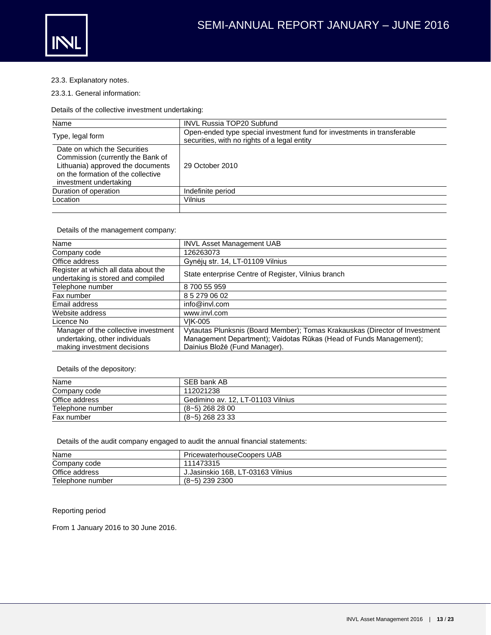

23.3. Explanatory notes.

23.3.1. General information:

Details of the collective investment undertaking:

| Name                                                                                                                                                                   | <b>INVL Russia TOP20 Subfund</b>                                                                                        |
|------------------------------------------------------------------------------------------------------------------------------------------------------------------------|-------------------------------------------------------------------------------------------------------------------------|
| Type, legal form                                                                                                                                                       | Open-ended type special investment fund for investments in transferable<br>securities, with no rights of a legal entity |
| Date on which the Securities<br>Commission (currently the Bank of<br>Lithuania) approved the documents<br>on the formation of the collective<br>investment undertaking | 29 October 2010                                                                                                         |
| Duration of operation                                                                                                                                                  | Indefinite period                                                                                                       |
| Location                                                                                                                                                               | Vilnius                                                                                                                 |
|                                                                                                                                                                        |                                                                                                                         |

Details of the management company:

| Name                                                                                                  | <b>INVL Asset Management UAB</b>                                                                                                                                                   |
|-------------------------------------------------------------------------------------------------------|------------------------------------------------------------------------------------------------------------------------------------------------------------------------------------|
| Company code                                                                                          | 126263073                                                                                                                                                                          |
| Office address                                                                                        | Gynėjų str. 14, LT-01109 Vilnius                                                                                                                                                   |
| Register at which all data about the<br>undertaking is stored and compiled                            | State enterprise Centre of Register, Vilnius branch                                                                                                                                |
| Telephone number                                                                                      | 8 700 55 959                                                                                                                                                                       |
| Fax number                                                                                            | 8 5 279 06 02                                                                                                                                                                      |
| Email address                                                                                         | info@invl.com                                                                                                                                                                      |
| Website address                                                                                       | www.invl.com                                                                                                                                                                       |
| Licence No                                                                                            | <b>VIK-005</b>                                                                                                                                                                     |
| Manager of the collective investment<br>undertaking, other individuals<br>making investment decisions | Vytautas Plunksnis (Board Member); Tomas Krakauskas (Director of Investment<br>Management Department); Vaidotas Rūkas (Head of Funds Management);<br>Dainius Bložė (Fund Manager). |

Details of the depository:

| Name             | SEB bank AB                       |
|------------------|-----------------------------------|
| Company code     | 112021238                         |
| Office address   | Gedimino av. 12, LT-01103 Vilnius |
| Telephone number | $(8-5)$ 268 28 00                 |
| Fax number       | $(8-5)$ 268 23 33                 |

Details of the audit company engaged to audit the annual financial statements:

| Name             | PricewaterhouseCoopers UAB        |
|------------------|-----------------------------------|
| Company code     | 111473315                         |
| Office address   | J.Jasinskio 16B, LT-03163 Vilnius |
| Telephone number | $(8-5)$ 239 2300                  |

## Reporting period

From 1 January 2016 to 30 June 2016.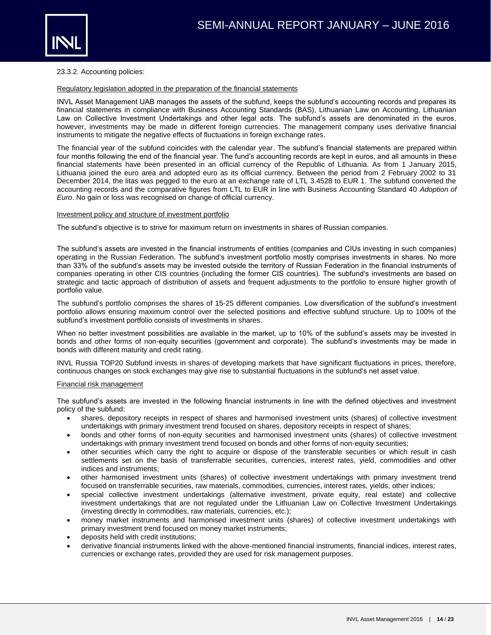

#### 23.3.2. Accounting policies:

#### Regulatory legislation adopted in the preparation of the financial statements

INVL Asset Management UAB manages the assets of the subfund, keeps the subfund's accounting records and prepares its financial statements in compliance with Business Accounting Standards (BAS), Lithuanian Law on Accounting, Lithuanian Law on Collective Investment Undertakings and other legal acts. The subfund's assets are denominated in the euros, however, investments may be made in different foreign currencies. The management company uses derivative financial instruments to mitigate the negative effects of fluctuations in foreign exchange rates.

The financial year of the subfund coincides with the calendar year. The subfund's financial statements are prepared within four months following the end of the financial year. The fund's accounting records are kept in euros, and all amounts in these financial statements have been presented in an official currency of the Republic of Lithuania. As from 1 January 2015, Lithuania joined the euro area and adopted euro as its official currency. Between the period from 2 February 2002 to 31 December 2014, the litas was pegged to the euro at an exchange rate of LTL 3.4528 to EUR 1. The subfund converted the accounting records and the comparative figures from LTL to EUR in line with Business Accounting Standard 40 *Adoption of Euro*. No gain or loss was recognised on change of official currency.

#### Investment policy and structure of investment portfolio

The subfund's objective is to strive for maximum return on investments in shares of Russian companies.

The subfund's assets are invested in the financial instruments of entities (companies and CIUs investing in such companies) operating in the Russian Federation. The subfund's investment portfolio mostly comprises investments in shares. No more than 33% of the subfund's assets may be invested outside the territory of Russian Federation in the financial instruments of companies operating in other CIS countries (including the former CIS countries). The subfund's investments are based on strategic and tactic approach of distribution of assets and frequent adjustments to the portfolio to ensure higher growth of portfolio value.

The subfund's portfolio comprises the shares of 15-25 different companies. Low diversification of the subfund's investment portfolio allows ensuring maximum control over the selected positions and effective subfund structure. Up to 100% of the subfund's investment portfolio consists of investments in shares.

When no better investment possibilities are available in the market, up to 10% of the subfund's assets may be invested in bonds and other forms of non-equity securities (government and corporate). The subfund's investments may be made in bonds with different maturity and credit rating.

INVL Russia TOP20 Subfund invests in shares of developing markets that have significant fluctuations in prices, therefore, continuous changes on stock exchanges may give rise to substantial fluctuations in the subfund's net asset value.

#### Financial risk management

The subfund's assets are invested in the following financial instruments in line with the defined objectives and investment policy of the subfund:

- shares, depository receipts in respect of shares and harmonised investment units (shares) of collective investment undertakings with primary investment trend focused on shares, depository receipts in respect of shares;
- bonds and other forms of non-equity securities and harmonised investment units (shares) of collective investment undertakings with primary investment trend focused on bonds and other forms of non-equity securities;
- other securities which carry the right to acquire or dispose of the transferable securities or which result in cash settlements set on the basis of transferrable securities, currencies, interest rates, yield, commodities and other indices and instruments;
- other harmonised investment units (shares) of collective investment undertakings with primary investment trend focused on transferrable securities, raw materials, commodities, currencies, interest rates, yields, other indices;
- special collective investment undertakings (alternative investment, private equity, real estate) and collective investment undertakings that are not regulated under the Lithuanian Law on Collective Investment Undertakings (investing directly in commodities, raw materials, currencies, etc.);
- money market instruments and harmonised investment units (shares) of collective investment undertakings with primary investment trend focused on money market instruments;
- deposits held with credit institutions;
- derivative financial instruments linked with the above-mentioned financial instruments, financial indices, interest rates, currencies or exchange rates, provided they are used for risk management purposes.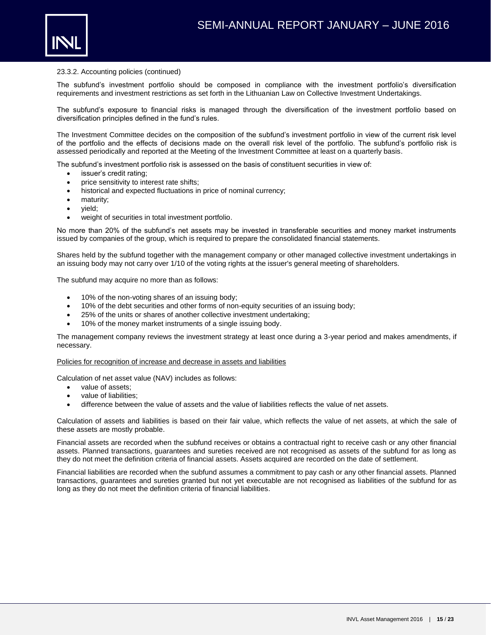

The subfund's investment portfolio should be composed in compliance with the investment portfolio's diversification requirements and investment restrictions as set forth in the Lithuanian Law on Collective Investment Undertakings.

The subfund's exposure to financial risks is managed through the diversification of the investment portfolio based on diversification principles defined in the fund's rules.

The Investment Committee decides on the composition of the subfund's investment portfolio in view of the current risk level of the portfolio and the effects of decisions made on the overall risk level of the portfolio. The subfund's portfolio risk is assessed periodically and reported at the Meeting of the Investment Committee at least on a quarterly basis.

The subfund's investment portfolio risk is assessed on the basis of constituent securities in view of:

- issuer's credit rating;
- price sensitivity to interest rate shifts;
- historical and expected fluctuations in price of nominal currency;
- maturity;
- yield;
- weight of securities in total investment portfolio.

No more than 20% of the subfund's net assets may be invested in transferable securities and money market instruments issued by companies of the group, which is required to prepare the consolidated financial statements.

Shares held by the subfund together with the management company or other managed collective investment undertakings in an issuing body may not carry over 1/10 of the voting rights at the issuer's general meeting of shareholders.

The subfund may acquire no more than as follows:

- 10% of the non-voting shares of an issuing body;
- 10% of the debt securities and other forms of non-equity securities of an issuing body;
- 25% of the units or shares of another collective investment undertaking;
- 10% of the money market instruments of a single issuing body.

The management company reviews the investment strategy at least once during a 3-year period and makes amendments, if necessary.

#### Policies for recognition of increase and decrease in assets and liabilities

Calculation of net asset value (NAV) includes as follows:

- value of assets:
- value of liabilities;
- difference between the value of assets and the value of liabilities reflects the value of net assets.

Calculation of assets and liabilities is based on their fair value, which reflects the value of net assets, at which the sale of these assets are mostly probable.

Financial assets are recorded when the subfund receives or obtains a contractual right to receive cash or any other financial assets. Planned transactions, guarantees and sureties received are not recognised as assets of the subfund for as long as they do not meet the definition criteria of financial assets. Assets acquired are recorded on the date of settlement.

Financial liabilities are recorded when the subfund assumes a commitment to pay cash or any other financial assets. Planned transactions, guarantees and sureties granted but not yet executable are not recognised as liabilities of the subfund for as long as they do not meet the definition criteria of financial liabilities.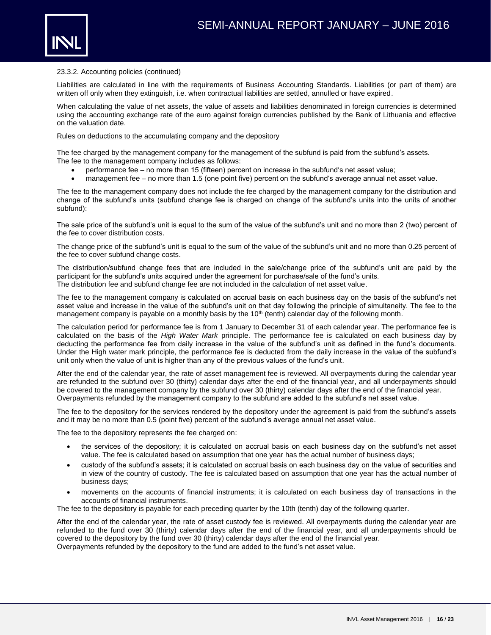

Liabilities are calculated in line with the requirements of Business Accounting Standards. Liabilities (or part of them) are written off only when they extinguish, i.e. when contractual liabilities are settled, annulled or have expired.

When calculating the value of net assets, the value of assets and liabilities denominated in foreign currencies is determined using the accounting exchange rate of the euro against foreign currencies published by the Bank of Lithuania and effective on the valuation date.

#### Rules on deductions to the accumulating company and the depository

The fee charged by the management company for the management of the subfund is paid from the subfund's assets. The fee to the management company includes as follows:

- performance fee no more than 15 (fifteen) percent on increase in the subfund's net asset value;
- management fee no more than 1.5 (one point five) percent on the subfund's average annual net asset value.

The fee to the management company does not include the fee charged by the management company for the distribution and change of the subfund's units (subfund change fee is charged on change of the subfund's units into the units of another subfund):

The sale price of the subfund's unit is equal to the sum of the value of the subfund's unit and no more than 2 (two) percent of the fee to cover distribution costs.

The change price of the subfund's unit is equal to the sum of the value of the subfund's unit and no more than 0.25 percent of the fee to cover subfund change costs.

The distribution/subfund change fees that are included in the sale/change price of the subfund's unit are paid by the participant for the subfund's units acquired under the agreement for purchase/sale of the fund's units. The distribution fee and subfund change fee are not included in the calculation of net asset value.

The fee to the management company is calculated on accrual basis on each business day on the basis of the subfund's net asset value and increase in the value of the subfund's unit on that day following the principle of simultaneity. The fee to the management company is payable on a monthly basis by the 10<sup>th</sup> (tenth) calendar day of the following month.

The calculation period for performance fee is from 1 January to December 31 of each calendar year. The performance fee is calculated on the basis of the *High Water Mark* principle. The performance fee is calculated on each business day by deducting the performance fee from daily increase in the value of the subfund's unit as defined in the fund's documents. Under the High water mark principle, the performance fee is deducted from the daily increase in the value of the subfund's unit only when the value of unit is higher than any of the previous values of the fund's unit.

After the end of the calendar year, the rate of asset management fee is reviewed. All overpayments during the calendar year are refunded to the subfund over 30 (thirty) calendar days after the end of the financial year, and all underpayments should be covered to the management company by the subfund over 30 (thirty) calendar days after the end of the financial year. Overpayments refunded by the management company to the subfund are added to the subfund's net asset value.

The fee to the depository for the services rendered by the depository under the agreement is paid from the subfund's assets and it may be no more than 0.5 (point five) percent of the subfund's average annual net asset value.

The fee to the depository represents the fee charged on:

- the services of the depository; it is calculated on accrual basis on each business day on the subfund's net asset value. The fee is calculated based on assumption that one year has the actual number of business days;
- custody of the subfund's assets; it is calculated on accrual basis on each business day on the value of securities and in view of the country of custody. The fee is calculated based on assumption that one year has the actual number of business days;
- movements on the accounts of financial instruments; it is calculated on each business day of transactions in the accounts of financial instruments.

The fee to the depository is payable for each preceding quarter by the 10th (tenth) day of the following quarter.

After the end of the calendar year, the rate of asset custody fee is reviewed. All overpayments during the calendar year are refunded to the fund over 30 (thirty) calendar days after the end of the financial year, and all underpayments should be covered to the depository by the fund over 30 (thirty) calendar days after the end of the financial year. Overpayments refunded by the depository to the fund are added to the fund's net asset value.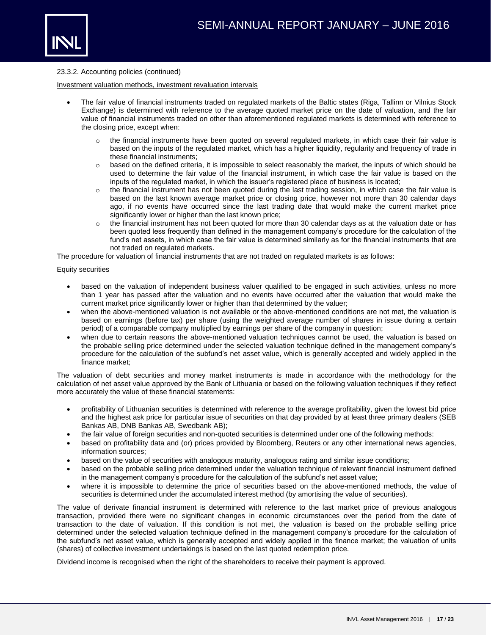

#### Investment valuation methods, investment revaluation intervals

- The fair value of financial instruments traded on regulated markets of the Baltic states (Riga, Tallinn or Vilnius Stock Exchange) is determined with reference to the average quoted market price on the date of valuation, and the fair value of financial instruments traded on other than aforementioned regulated markets is determined with reference to the closing price, except when:
	- o the financial instruments have been quoted on several regulated markets, in which case their fair value is based on the inputs of the regulated market, which has a higher liquidity, regularity and frequency of trade in these financial instruments;
	- $\circ$  based on the defined criteria, it is impossible to select reasonably the market, the inputs of which should be used to determine the fair value of the financial instrument, in which case the fair value is based on the inputs of the regulated market, in which the issuer's registered place of business is located;
	- the financial instrument has not been quoted during the last trading session, in which case the fair value is based on the last known average market price or closing price, however not more than 30 calendar days ago, if no events have occurred since the last trading date that would make the current market price significantly lower or higher than the last known price;
	- $\circ$  the financial instrument has not been quoted for more than 30 calendar days as at the valuation date or has been quoted less frequently than defined in the management company's procedure for the calculation of the fund's net assets, in which case the fair value is determined similarly as for the financial instruments that are not traded on regulated markets.

The procedure for valuation of financial instruments that are not traded on regulated markets is as follows:

#### Equity securities

- based on the valuation of independent business valuer qualified to be engaged in such activities, unless no more than 1 year has passed after the valuation and no events have occurred after the valuation that would make the current market price significantly lower or higher than that determined by the valuer;
- when the above-mentioned valuation is not available or the above-mentioned conditions are not met, the valuation is based on earnings (before tax) per share (using the weighted average number of shares in issue during a certain period) of a comparable company multiplied by earnings per share of the company in question;
- when due to certain reasons the above-mentioned valuation techniques cannot be used, the valuation is based on the probable selling price determined under the selected valuation technique defined in the management company's procedure for the calculation of the subfund's net asset value, which is generally accepted and widely applied in the finance market;

The valuation of debt securities and money market instruments is made in accordance with the methodology for the calculation of net asset value approved by the Bank of Lithuania or based on the following valuation techniques if they reflect more accurately the value of these financial statements:

- profitability of Lithuanian securities is determined with reference to the average profitability, given the lowest bid price and the highest ask price for particular issue of securities on that day provided by at least three primary dealers (SEB Bankas AB, DNB Bankas AB, Swedbank AB);
- the fair value of foreign securities and non-quoted securities is determined under one of the following methods:
- based on profitability data and (or) prices provided by Bloomberg, Reuters or any other international news agencies, information sources;
- based on the value of securities with analogous maturity, analogous rating and similar issue conditions;
- based on the probable selling price determined under the valuation technique of relevant financial instrument defined in the management company's procedure for the calculation of the subfund's net asset value;
- where it is impossible to determine the price of securities based on the above-mentioned methods, the value of securities is determined under the accumulated interest method (by amortising the value of securities).

The value of derivate financial instrument is determined with reference to the last market price of previous analogous transaction, provided there were no significant changes in economic circumstances over the period from the date of transaction to the date of valuation. If this condition is not met, the valuation is based on the probable selling price determined under the selected valuation technique defined in the management company's procedure for the calculation of the subfund's net asset value, which is generally accepted and widely applied in the finance market; the valuation of units (shares) of collective investment undertakings is based on the last quoted redemption price.

Dividend income is recognised when the right of the shareholders to receive their payment is approved.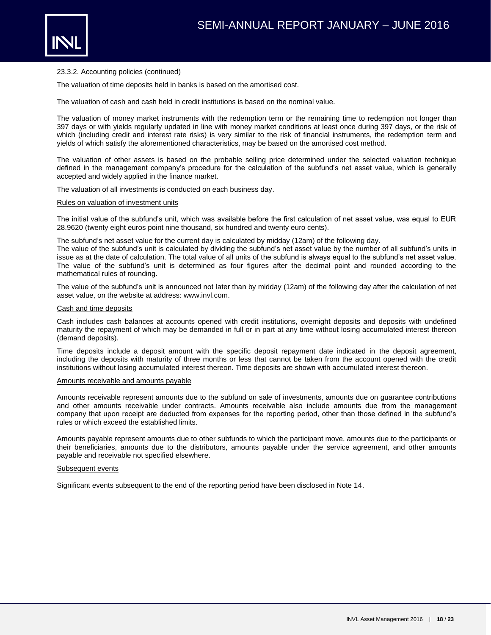

The valuation of time deposits held in banks is based on the amortised cost.

The valuation of cash and cash held in credit institutions is based on the nominal value.

The valuation of money market instruments with the redemption term or the remaining time to redemption not longer than 397 days or with yields regularly updated in line with money market conditions at least once during 397 days, or the risk of which (including credit and interest rate risks) is very similar to the risk of financial instruments, the redemption term and yields of which satisfy the aforementioned characteristics, may be based on the amortised cost method.

The valuation of other assets is based on the probable selling price determined under the selected valuation technique defined in the management company's procedure for the calculation of the subfund's net asset value, which is generally accepted and widely applied in the finance market.

The valuation of all investments is conducted on each business day.

#### Rules on valuation of investment units

The initial value of the subfund's unit, which was available before the first calculation of net asset value, was equal to EUR 28.9620 (twenty eight euros point nine thousand, six hundred and twenty euro cents).

The subfund's net asset value for the current day is calculated by midday (12am) of the following day.

The value of the subfund's unit is calculated by dividing the subfund's net asset value by the number of all subfund's units in issue as at the date of calculation. The total value of all units of the subfund is always equal to the subfund's net asset value. The value of the subfund's unit is determined as four figures after the decimal point and rounded according to the mathematical rules of rounding.

The value of the subfund's unit is announced not later than by midday (12am) of the following day after the calculation of net asset value, on the website at address: www.invl.com.

#### Cash and time deposits

Cash includes cash balances at accounts opened with credit institutions, overnight deposits and deposits with undefined maturity the repayment of which may be demanded in full or in part at any time without losing accumulated interest thereon (demand deposits).

Time deposits include a deposit amount with the specific deposit repayment date indicated in the deposit agreement, including the deposits with maturity of three months or less that cannot be taken from the account opened with the credit institutions without losing accumulated interest thereon. Time deposits are shown with accumulated interest thereon.

#### Amounts receivable and amounts payable

Amounts receivable represent amounts due to the subfund on sale of investments, amounts due on guarantee contributions and other amounts receivable under contracts. Amounts receivable also include amounts due from the management company that upon receipt are deducted from expenses for the reporting period, other than those defined in the subfund's rules or which exceed the established limits.

Amounts payable represent amounts due to other subfunds to which the participant move, amounts due to the participants or their beneficiaries, amounts due to the distributors, amounts payable under the service agreement, and other amounts payable and receivable not specified elsewhere.

#### Subsequent events

Significant events subsequent to the end of the reporting period have been disclosed in Note 14.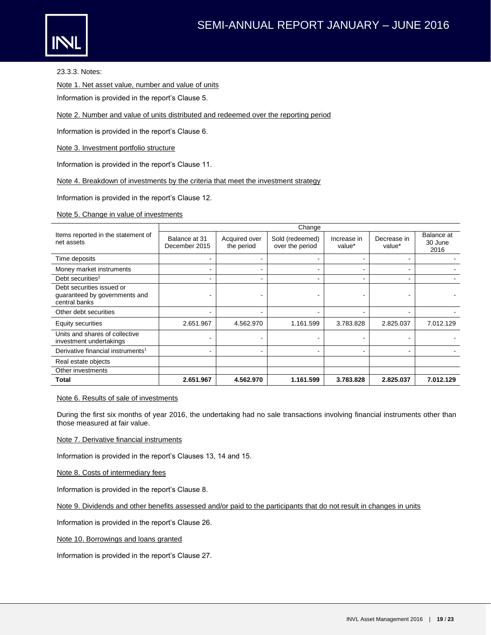

23.3.3. Notes:

Note 1. Net asset value, number and value of units

Information is provided in the report's Clause 5.

Note 2. Number and value of units distributed and redeemed over the reporting period

Information is provided in the report's Clause 6.

Note 3. Investment portfolio structure

Information is provided in the report's Clause 11.

Note 4. Breakdown of investments by the criteria that meet the investment strategy

Information is provided in the report's Clause 12.

Note 5. Change in value of investments

|                                                                             |                                |                             | Change                             |                       |                          |                               |
|-----------------------------------------------------------------------------|--------------------------------|-----------------------------|------------------------------------|-----------------------|--------------------------|-------------------------------|
| Items reported in the statement of<br>net assets                            | Balance at 31<br>December 2015 | Acquired over<br>the period | Sold (redeemed)<br>over the period | Increase in<br>value* | Decrease in<br>value*    | Balance at<br>30 June<br>2016 |
| Time deposits                                                               |                                | ۰                           |                                    |                       |                          |                               |
| Money market instruments                                                    |                                | ۰                           |                                    |                       |                          |                               |
| Debt securities <sup>2</sup>                                                |                                | $\,$                        |                                    |                       | $\overline{\phantom{a}}$ |                               |
| Debt securities issued or<br>guaranteed by governments and<br>central banks |                                |                             |                                    |                       |                          |                               |
| Other debt securities                                                       | ۰                              | $\overline{\phantom{a}}$    |                                    |                       | ۰                        |                               |
| Equity securities                                                           | 2.651.967                      | 4.562.970                   | 1.161.599                          | 3.783.828             | 2.825.037                | 7.012.129                     |
| Units and shares of collective<br>investment undertakings                   |                                | ۰                           |                                    |                       |                          |                               |
| Derivative financial instruments <sup>1</sup>                               | ۰                              | $\,$                        |                                    |                       | ۰                        |                               |
| Real estate objects                                                         |                                |                             |                                    |                       |                          |                               |
| Other investments                                                           |                                |                             |                                    |                       |                          |                               |
| <b>Total</b>                                                                | 2.651.967                      | 4.562.970                   | 1.161.599                          | 3.783.828             | 2.825.037                | 7.012.129                     |

#### Note 6. Results of sale of investments

During the first six months of year 2016, the undertaking had no sale transactions involving financial instruments other than those measured at fair value.

Note 7. Derivative financial instruments

Information is provided in the report's Clauses 13, 14 and 15.

Note 8. Costs of intermediary fees

Information is provided in the report's Clause 8.

Note 9. Dividends and other benefits assessed and/or paid to the participants that do not result in changes in units

Information is provided in the report's Clause 26.

Note 10. Borrowings and loans granted

Information is provided in the report's Clause 27.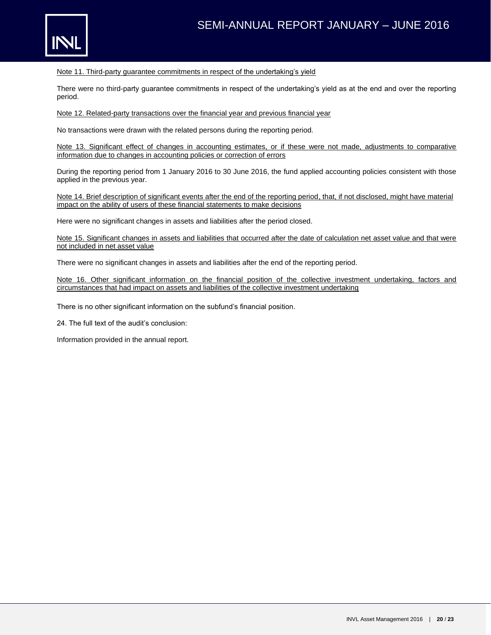

Note 11. Third-party guarantee commitments in respect of the undertaking's yield

There were no third-party guarantee commitments in respect of the undertaking's yield as at the end and over the reporting period.

Note 12. Related-party transactions over the financial year and previous financial year

No transactions were drawn with the related persons during the reporting period.

Note 13. Significant effect of changes in accounting estimates, or if these were not made, adjustments to comparative information due to changes in accounting policies or correction of errors

During the reporting period from 1 January 2016 to 30 June 2016, the fund applied accounting policies consistent with those applied in the previous year.

Note 14. Brief description of significant events after the end of the reporting period, that, if not disclosed, might have material impact on the ability of users of these financial statements to make decisions

Here were no significant changes in assets and liabilities after the period closed.

Note 15. Significant changes in assets and liabilities that occurred after the date of calculation net asset value and that were not included in net asset value

There were no significant changes in assets and liabilities after the end of the reporting period.

Note 16. Other significant information on the financial position of the collective investment undertaking, factors and circumstances that had impact on assets and liabilities of the collective investment undertaking

There is no other significant information on the subfund's financial position.

24. The full text of the audit's conclusion:

Information provided in the annual report.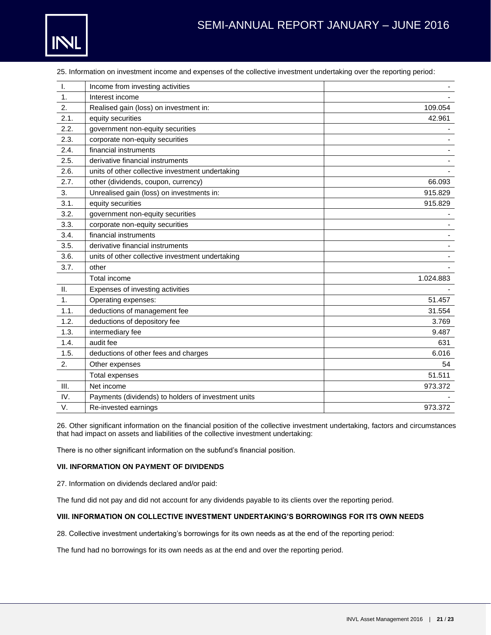

# SEMI-ANNUAL REPORT JANUARY – JUNE 2016

| $\mathbf{L}$ | Income from investing activities                 |           |
|--------------|--------------------------------------------------|-----------|
| 1.           | Interest income                                  |           |
| 2.           | Realised gain (loss) on investment in:           | 109.054   |
| 2.1.         | equity securities                                | 42.961    |
| 2.2.         | government non-equity securities                 |           |
| 2.3.         | corporate non-equity securities                  |           |
| 2.4.         | financial instruments                            |           |
| 2.5.         | derivative financial instruments                 |           |
| 2.6.         | units of other collective investment undertaking |           |
| 2.7.         | other (dividends, coupon, currency)              | 66.093    |
| 3.           | Unrealised gain (loss) on investments in:        | 915.829   |
| 3.1.         | equity securities                                | 915.829   |
| 3.2.         | government non-equity securities                 |           |
| 3.3.         | corporate non-equity securities                  |           |
| 3.4.         | financial instruments                            |           |
| 3.5.         | derivative financial instruments                 |           |
| 3.6.         | units of other collective investment undertaking |           |
| 3.7.         | other                                            |           |
|              | Total income                                     | 1.024.883 |
| Ш.           | Expenses of investing activities                 |           |
| 1.           | Operating expenses:                              | 51.457    |
| 1.1.         | deductions of management fee                     | 31.554    |
| 1.2.         | deductions of depository fee                     | 3.769     |
| 1.3.         | intermediary fee                                 | 9.487     |
| 1.4.         | audit fee                                        | 631       |
| 1.5.         | deductions of other fees and charges             | 6.016     |

25. Information on investment income and expenses of the collective investment undertaking over the reporting period:

V. Re-invested earnings and the set of the set of the set of the set of the set of the set of the set of the set of the set of the set of the set of the set of the set of the set of the set of the set of the set of the set 26. Other significant information on the financial position of the collective investment undertaking, factors and circumstances that had impact on assets and liabilities of the collective investment undertaking:

2. Other expenses 54

III. Net income 973.372

Total expenses 51.511

There is no other significant information on the subfund's financial position.

IV. Payments (dividends) to holders of investment units

#### **VII. INFORMATION ON PAYMENT OF DIVIDENDS**

27. Information on dividends declared and/or paid:

The fund did not pay and did not account for any dividends payable to its clients over the reporting period.

#### **VIII. INFORMATION ON COLLECTIVE INVESTMENT UNDERTAKING'S BORROWINGS FOR ITS OWN NEEDS**

28. Collective investment undertaking's borrowings for its own needs as at the end of the reporting period:

The fund had no borrowings for its own needs as at the end and over the reporting period.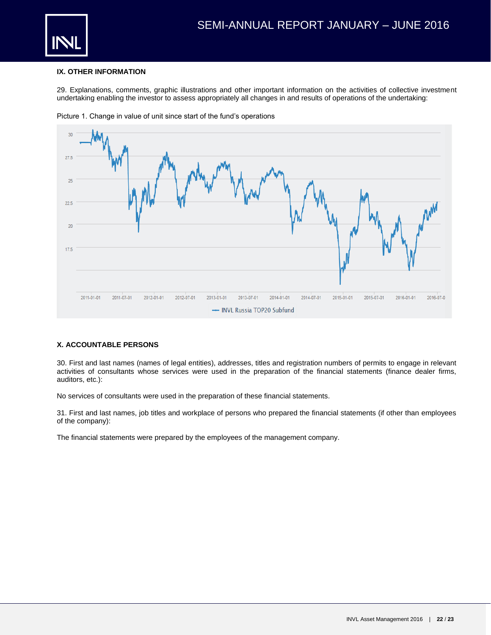

#### **IX. OTHER INFORMATION**

29. Explanations, comments, graphic illustrations and other important information on the activities of collective investment undertaking enabling the investor to assess appropriately all changes in and results of operations of the undertaking:



Picture 1. Change in value of unit since start of the fund's operations

#### **X. ACCOUNTABLE PERSONS**

30. First and last names (names of legal entities), addresses, titles and registration numbers of permits to engage in relevant activities of consultants whose services were used in the preparation of the financial statements (finance dealer firms, auditors, etc.):

No services of consultants were used in the preparation of these financial statements.

31. First and last names, job titles and workplace of persons who prepared the financial statements (if other than employees of the company):

The financial statements were prepared by the employees of the management company.